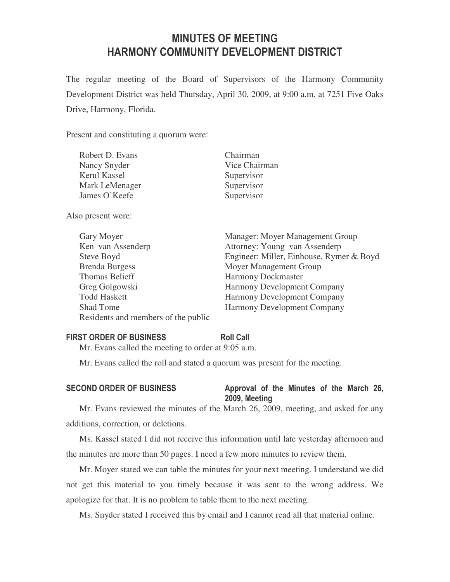# MINUTES OF MEETING HARMONY COMMUNITY DEVELOPMENT DISTRICT

The regular meeting of the Board of Supervisors of the Harmony Community Development District was held Thursday, April 30, 2009, at 9:00 a.m. at 7251 Five Oaks Drive, Harmony, Florida.

Present and constituting a quorum were:

| Robert D. Evans    | Chairman                |
|--------------------|-------------------------|
| Nancy Snyder       | Vice Chairman           |
| Kerul Kassel       | Supervisor              |
| Mark LeMenager     | Supervisor              |
| James O'Keefe      | Supervisor              |
| Also present were: |                         |
| Gary Moyer         | Manager: Moyer Mana     |
| Ken van Assenderp  | Attorney: Young van     |
| Steve Boyd         | Engineer: Miller, Einhe |
|                    |                         |

Brenda Burgess Moyer Management Group Thomas Belieff Harmony Dockmaster Greg Golgowski Harmony Development Company Todd Haskett Harmony Development Company Shad Tome Harmony Development Company Residents and members of the public

gement Group Assenderp ouse, Rymer & Boyd

### FIRST ORDER OF BUSINESS Roll Call

Mr. Evans called the meeting to order at 9:05 a.m.

Mr. Evans called the roll and stated a quorum was present for the meeting.

# SECOND ORDER OF BUSINESS Approval of the Minutes of the March 26, 2009, Meeting

Mr. Evans reviewed the minutes of the March 26, 2009, meeting, and asked for any additions, correction, or deletions.

Ms. Kassel stated I did not receive this information until late yesterday afternoon and the minutes are more than 50 pages. I need a few more minutes to review them.

Mr. Moyer stated we can table the minutes for your next meeting. I understand we did not get this material to you timely because it was sent to the wrong address. We apologize for that. It is no problem to table them to the next meeting.

Ms. Snyder stated I received this by email and I cannot read all that material online.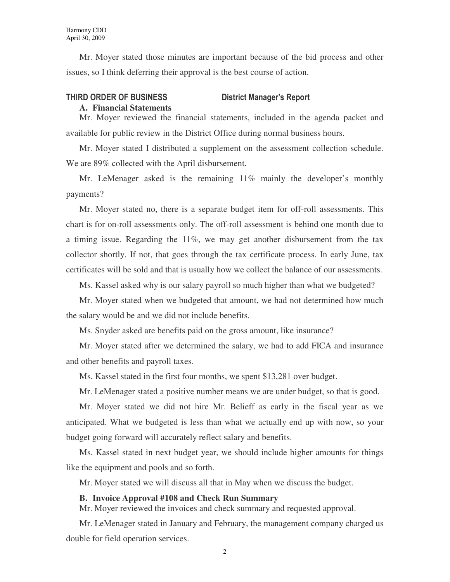Mr. Moyer stated those minutes are important because of the bid process and other issues, so I think deferring their approval is the best course of action.

# THIRD ORDER OF BUSINESS District Manager's Report

# **A. Financial Statements**

Mr. Moyer reviewed the financial statements, included in the agenda packet and available for public review in the District Office during normal business hours.

Mr. Moyer stated I distributed a supplement on the assessment collection schedule. We are 89% collected with the April disbursement.

Mr. LeMenager asked is the remaining 11% mainly the developer's monthly payments?

Mr. Moyer stated no, there is a separate budget item for off-roll assessments. This chart is for on-roll assessments only. The off-roll assessment is behind one month due to a timing issue. Regarding the 11%, we may get another disbursement from the tax collector shortly. If not, that goes through the tax certificate process. In early June, tax certificates will be sold and that is usually how we collect the balance of our assessments.

Ms. Kassel asked why is our salary payroll so much higher than what we budgeted?

Mr. Moyer stated when we budgeted that amount, we had not determined how much the salary would be and we did not include benefits.

Ms. Snyder asked are benefits paid on the gross amount, like insurance?

Mr. Moyer stated after we determined the salary, we had to add FICA and insurance and other benefits and payroll taxes.

Ms. Kassel stated in the first four months, we spent \$13,281 over budget.

Mr. LeMenager stated a positive number means we are under budget, so that is good.

Mr. Moyer stated we did not hire Mr. Belieff as early in the fiscal year as we anticipated. What we budgeted is less than what we actually end up with now, so your budget going forward will accurately reflect salary and benefits.

Ms. Kassel stated in next budget year, we should include higher amounts for things like the equipment and pools and so forth.

Mr. Moyer stated we will discuss all that in May when we discuss the budget.

## **B. Invoice Approval #108 and Check Run Summary**

Mr. Moyer reviewed the invoices and check summary and requested approval.

Mr. LeMenager stated in January and February, the management company charged us double for field operation services.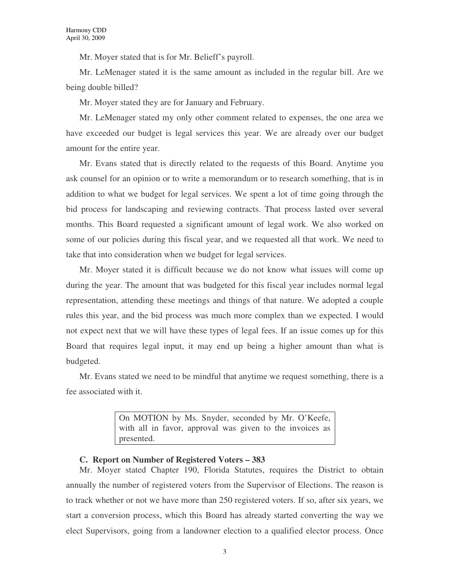Mr. Moyer stated that is for Mr. Belieff's payroll.

Mr. LeMenager stated it is the same amount as included in the regular bill. Are we being double billed?

Mr. Moyer stated they are for January and February.

Mr. LeMenager stated my only other comment related to expenses, the one area we have exceeded our budget is legal services this year. We are already over our budget amount for the entire year.

Mr. Evans stated that is directly related to the requests of this Board. Anytime you ask counsel for an opinion or to write a memorandum or to research something, that is in addition to what we budget for legal services. We spent a lot of time going through the bid process for landscaping and reviewing contracts. That process lasted over several months. This Board requested a significant amount of legal work. We also worked on some of our policies during this fiscal year, and we requested all that work. We need to take that into consideration when we budget for legal services.

Mr. Moyer stated it is difficult because we do not know what issues will come up during the year. The amount that was budgeted for this fiscal year includes normal legal representation, attending these meetings and things of that nature. We adopted a couple rules this year, and the bid process was much more complex than we expected. I would not expect next that we will have these types of legal fees. If an issue comes up for this Board that requires legal input, it may end up being a higher amount than what is budgeted.

Mr. Evans stated we need to be mindful that anytime we request something, there is a fee associated with it.

> On MOTION by Ms. Snyder, seconded by Mr. O'Keefe, with all in favor, approval was given to the invoices as presented.

### **C. Report on Number of Registered Voters – 383**

Mr. Moyer stated Chapter 190, Florida Statutes, requires the District to obtain annually the number of registered voters from the Supervisor of Elections. The reason is to track whether or not we have more than 250 registered voters. If so, after six years, we start a conversion process, which this Board has already started converting the way we elect Supervisors, going from a landowner election to a qualified elector process. Once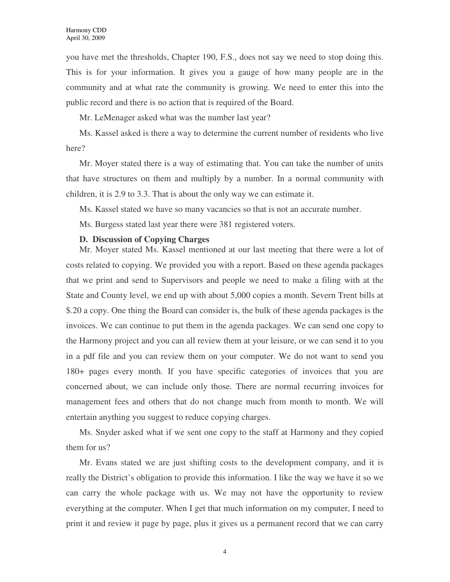you have met the thresholds, Chapter 190, F.S., does not say we need to stop doing this. This is for your information. It gives you a gauge of how many people are in the community and at what rate the community is growing. We need to enter this into the public record and there is no action that is required of the Board.

Mr. LeMenager asked what was the number last year?

Ms. Kassel asked is there a way to determine the current number of residents who live here?

Mr. Moyer stated there is a way of estimating that. You can take the number of units that have structures on them and multiply by a number. In a normal community with children, it is 2.9 to 3.3. That is about the only way we can estimate it.

Ms. Kassel stated we have so many vacancies so that is not an accurate number.

Ms. Burgess stated last year there were 381 registered voters.

### **D. Discussion of Copying Charges**

Mr. Moyer stated Ms. Kassel mentioned at our last meeting that there were a lot of costs related to copying. We provided you with a report. Based on these agenda packages that we print and send to Supervisors and people we need to make a filing with at the State and County level, we end up with about 5,000 copies a month. Severn Trent bills at \$.20 a copy. One thing the Board can consider is, the bulk of these agenda packages is the invoices. We can continue to put them in the agenda packages. We can send one copy to the Harmony project and you can all review them at your leisure, or we can send it to you in a pdf file and you can review them on your computer. We do not want to send you 180+ pages every month. If you have specific categories of invoices that you are concerned about, we can include only those. There are normal recurring invoices for management fees and others that do not change much from month to month. We will entertain anything you suggest to reduce copying charges.

Ms. Snyder asked what if we sent one copy to the staff at Harmony and they copied them for us?

Mr. Evans stated we are just shifting costs to the development company, and it is really the District's obligation to provide this information. I like the way we have it so we can carry the whole package with us. We may not have the opportunity to review everything at the computer. When I get that much information on my computer, I need to print it and review it page by page, plus it gives us a permanent record that we can carry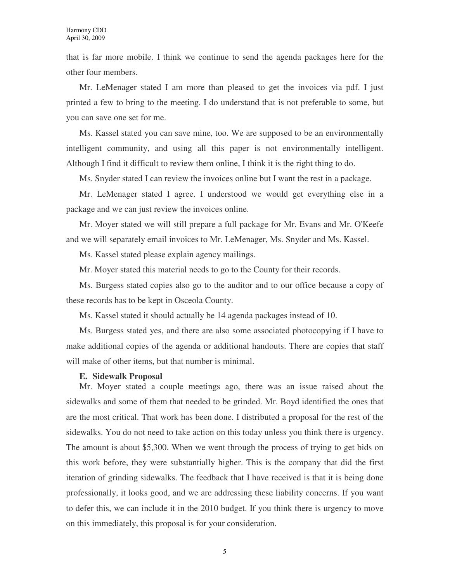that is far more mobile. I think we continue to send the agenda packages here for the other four members.

Mr. LeMenager stated I am more than pleased to get the invoices via pdf. I just printed a few to bring to the meeting. I do understand that is not preferable to some, but you can save one set for me.

Ms. Kassel stated you can save mine, too. We are supposed to be an environmentally intelligent community, and using all this paper is not environmentally intelligent. Although I find it difficult to review them online, I think it is the right thing to do.

Ms. Snyder stated I can review the invoices online but I want the rest in a package.

Mr. LeMenager stated I agree. I understood we would get everything else in a package and we can just review the invoices online.

Mr. Moyer stated we will still prepare a full package for Mr. Evans and Mr. O'Keefe and we will separately email invoices to Mr. LeMenager, Ms. Snyder and Ms. Kassel.

Ms. Kassel stated please explain agency mailings.

Mr. Moyer stated this material needs to go to the County for their records.

Ms. Burgess stated copies also go to the auditor and to our office because a copy of these records has to be kept in Osceola County.

Ms. Kassel stated it should actually be 14 agenda packages instead of 10.

Ms. Burgess stated yes, and there are also some associated photocopying if I have to make additional copies of the agenda or additional handouts. There are copies that staff will make of other items, but that number is minimal.

#### **E. Sidewalk Proposal**

Mr. Moyer stated a couple meetings ago, there was an issue raised about the sidewalks and some of them that needed to be grinded. Mr. Boyd identified the ones that are the most critical. That work has been done. I distributed a proposal for the rest of the sidewalks. You do not need to take action on this today unless you think there is urgency. The amount is about \$5,300. When we went through the process of trying to get bids on this work before, they were substantially higher. This is the company that did the first iteration of grinding sidewalks. The feedback that I have received is that it is being done professionally, it looks good, and we are addressing these liability concerns. If you want to defer this, we can include it in the 2010 budget. If you think there is urgency to move on this immediately, this proposal is for your consideration.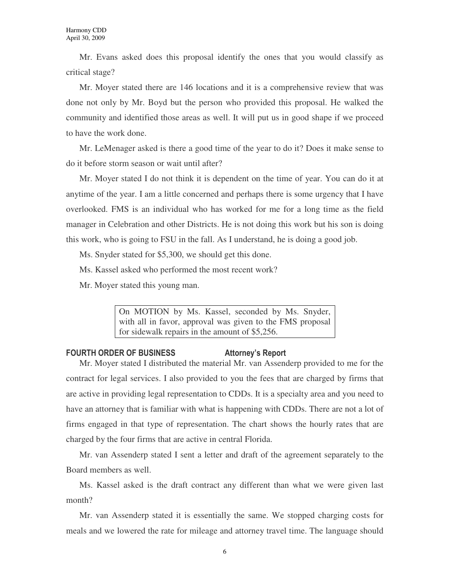Mr. Evans asked does this proposal identify the ones that you would classify as critical stage?

Mr. Moyer stated there are 146 locations and it is a comprehensive review that was done not only by Mr. Boyd but the person who provided this proposal. He walked the community and identified those areas as well. It will put us in good shape if we proceed to have the work done.

Mr. LeMenager asked is there a good time of the year to do it? Does it make sense to do it before storm season or wait until after?

Mr. Moyer stated I do not think it is dependent on the time of year. You can do it at anytime of the year. I am a little concerned and perhaps there is some urgency that I have overlooked. FMS is an individual who has worked for me for a long time as the field manager in Celebration and other Districts. He is not doing this work but his son is doing this work, who is going to FSU in the fall. As I understand, he is doing a good job.

Ms. Snyder stated for \$5,300, we should get this done.

Ms. Kassel asked who performed the most recent work?

Mr. Moyer stated this young man.

On MOTION by Ms. Kassel, seconded by Ms. Snyder, with all in favor, approval was given to the FMS proposal for sidewalk repairs in the amount of \$5,256.

# FOURTH ORDER OF BUSINESS FOURTH ORDER OF BUSINESS

Mr. Moyer stated I distributed the material Mr. van Assenderp provided to me for the contract for legal services. I also provided to you the fees that are charged by firms that are active in providing legal representation to CDDs. It is a specialty area and you need to have an attorney that is familiar with what is happening with CDDs. There are not a lot of firms engaged in that type of representation. The chart shows the hourly rates that are charged by the four firms that are active in central Florida.

Mr. van Assenderp stated I sent a letter and draft of the agreement separately to the Board members as well.

Ms. Kassel asked is the draft contract any different than what we were given last month?

Mr. van Assenderp stated it is essentially the same. We stopped charging costs for meals and we lowered the rate for mileage and attorney travel time. The language should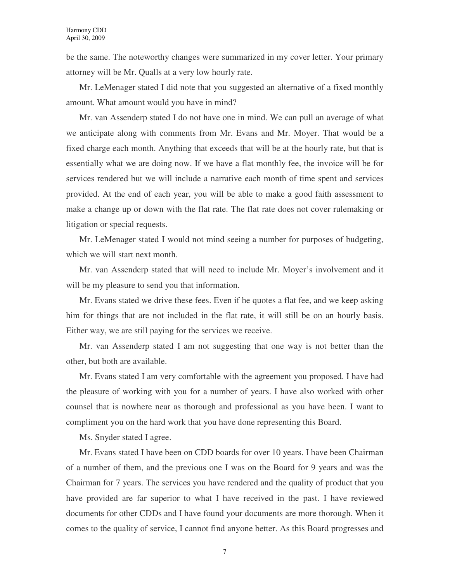be the same. The noteworthy changes were summarized in my cover letter. Your primary attorney will be Mr. Qualls at a very low hourly rate.

Mr. LeMenager stated I did note that you suggested an alternative of a fixed monthly amount. What amount would you have in mind?

Mr. van Assenderp stated I do not have one in mind. We can pull an average of what we anticipate along with comments from Mr. Evans and Mr. Moyer. That would be a fixed charge each month. Anything that exceeds that will be at the hourly rate, but that is essentially what we are doing now. If we have a flat monthly fee, the invoice will be for services rendered but we will include a narrative each month of time spent and services provided. At the end of each year, you will be able to make a good faith assessment to make a change up or down with the flat rate. The flat rate does not cover rulemaking or litigation or special requests.

Mr. LeMenager stated I would not mind seeing a number for purposes of budgeting, which we will start next month.

Mr. van Assenderp stated that will need to include Mr. Moyer's involvement and it will be my pleasure to send you that information.

Mr. Evans stated we drive these fees. Even if he quotes a flat fee, and we keep asking him for things that are not included in the flat rate, it will still be on an hourly basis. Either way, we are still paying for the services we receive.

Mr. van Assenderp stated I am not suggesting that one way is not better than the other, but both are available.

Mr. Evans stated I am very comfortable with the agreement you proposed. I have had the pleasure of working with you for a number of years. I have also worked with other counsel that is nowhere near as thorough and professional as you have been. I want to compliment you on the hard work that you have done representing this Board.

Ms. Snyder stated I agree.

Mr. Evans stated I have been on CDD boards for over 10 years. I have been Chairman of a number of them, and the previous one I was on the Board for 9 years and was the Chairman for 7 years. The services you have rendered and the quality of product that you have provided are far superior to what I have received in the past. I have reviewed documents for other CDDs and I have found your documents are more thorough. When it comes to the quality of service, I cannot find anyone better. As this Board progresses and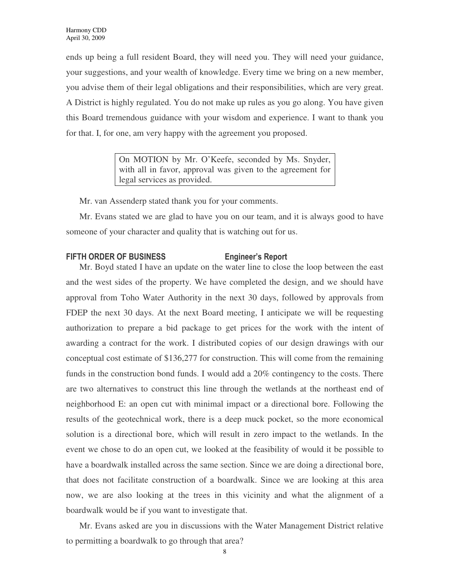ends up being a full resident Board, they will need you. They will need your guidance, your suggestions, and your wealth of knowledge. Every time we bring on a new member, you advise them of their legal obligations and their responsibilities, which are very great. A District is highly regulated. You do not make up rules as you go along. You have given this Board tremendous guidance with your wisdom and experience. I want to thank you for that. I, for one, am very happy with the agreement you proposed.

> On MOTION by Mr. O'Keefe, seconded by Ms. Snyder, with all in favor, approval was given to the agreement for legal services as provided.

Mr. van Assenderp stated thank you for your comments.

Mr. Evans stated we are glad to have you on our team, and it is always good to have someone of your character and quality that is watching out for us.

# FIFTH ORDER OF BUSINESS Engineer's Report

Mr. Boyd stated I have an update on the water line to close the loop between the east and the west sides of the property. We have completed the design, and we should have approval from Toho Water Authority in the next 30 days, followed by approvals from FDEP the next 30 days. At the next Board meeting, I anticipate we will be requesting authorization to prepare a bid package to get prices for the work with the intent of awarding a contract for the work. I distributed copies of our design drawings with our conceptual cost estimate of \$136,277 for construction. This will come from the remaining funds in the construction bond funds. I would add a 20% contingency to the costs. There are two alternatives to construct this line through the wetlands at the northeast end of neighborhood E: an open cut with minimal impact or a directional bore. Following the results of the geotechnical work, there is a deep muck pocket, so the more economical solution is a directional bore, which will result in zero impact to the wetlands. In the event we chose to do an open cut, we looked at the feasibility of would it be possible to have a boardwalk installed across the same section. Since we are doing a directional bore, that does not facilitate construction of a boardwalk. Since we are looking at this area now, we are also looking at the trees in this vicinity and what the alignment of a boardwalk would be if you want to investigate that.

Mr. Evans asked are you in discussions with the Water Management District relative to permitting a boardwalk to go through that area?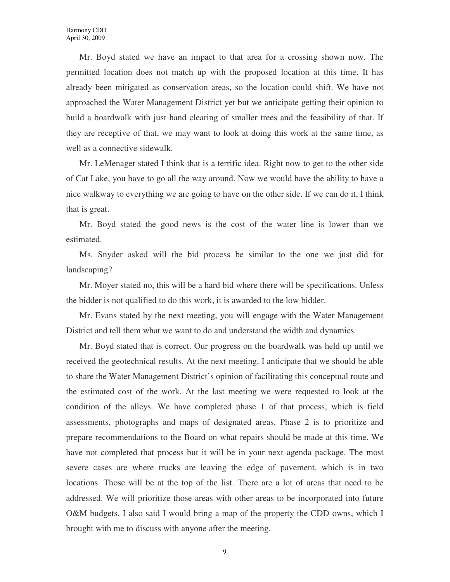Mr. Boyd stated we have an impact to that area for a crossing shown now. The permitted location does not match up with the proposed location at this time. It has already been mitigated as conservation areas, so the location could shift. We have not approached the Water Management District yet but we anticipate getting their opinion to build a boardwalk with just hand clearing of smaller trees and the feasibility of that. If they are receptive of that, we may want to look at doing this work at the same time, as well as a connective sidewalk.

Mr. LeMenager stated I think that is a terrific idea. Right now to get to the other side of Cat Lake, you have to go all the way around. Now we would have the ability to have a nice walkway to everything we are going to have on the other side. If we can do it, I think that is great.

Mr. Boyd stated the good news is the cost of the water line is lower than we estimated.

Ms. Snyder asked will the bid process be similar to the one we just did for landscaping?

Mr. Moyer stated no, this will be a hard bid where there will be specifications. Unless the bidder is not qualified to do this work, it is awarded to the low bidder.

Mr. Evans stated by the next meeting, you will engage with the Water Management District and tell them what we want to do and understand the width and dynamics.

Mr. Boyd stated that is correct. Our progress on the boardwalk was held up until we received the geotechnical results. At the next meeting, I anticipate that we should be able to share the Water Management District's opinion of facilitating this conceptual route and the estimated cost of the work. At the last meeting we were requested to look at the condition of the alleys. We have completed phase 1 of that process, which is field assessments, photographs and maps of designated areas. Phase 2 is to prioritize and prepare recommendations to the Board on what repairs should be made at this time. We have not completed that process but it will be in your next agenda package. The most severe cases are where trucks are leaving the edge of pavement, which is in two locations. Those will be at the top of the list. There are a lot of areas that need to be addressed. We will prioritize those areas with other areas to be incorporated into future O&M budgets. I also said I would bring a map of the property the CDD owns, which I brought with me to discuss with anyone after the meeting.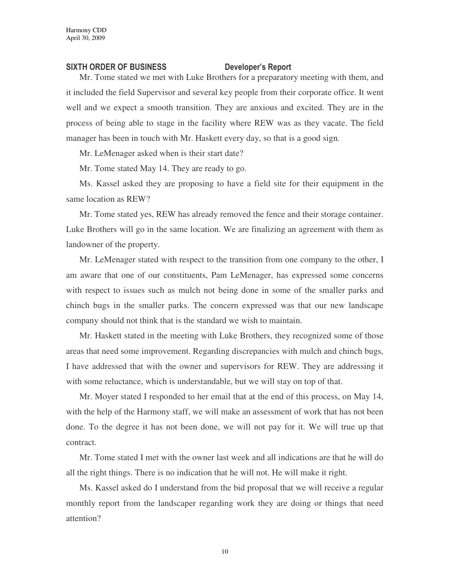# SIXTH ORDER OF BUSINESS Developer's Report

Mr. Tome stated we met with Luke Brothers for a preparatory meeting with them, and it included the field Supervisor and several key people from their corporate office. It went well and we expect a smooth transition. They are anxious and excited. They are in the process of being able to stage in the facility where REW was as they vacate. The field manager has been in touch with Mr. Haskett every day, so that is a good sign.

Mr. LeMenager asked when is their start date?

Mr. Tome stated May 14. They are ready to go.

Ms. Kassel asked they are proposing to have a field site for their equipment in the same location as REW?

Mr. Tome stated yes, REW has already removed the fence and their storage container. Luke Brothers will go in the same location. We are finalizing an agreement with them as landowner of the property.

Mr. LeMenager stated with respect to the transition from one company to the other, I am aware that one of our constituents, Pam LeMenager, has expressed some concerns with respect to issues such as mulch not being done in some of the smaller parks and chinch bugs in the smaller parks. The concern expressed was that our new landscape company should not think that is the standard we wish to maintain.

Mr. Haskett stated in the meeting with Luke Brothers, they recognized some of those areas that need some improvement. Regarding discrepancies with mulch and chinch bugs, I have addressed that with the owner and supervisors for REW. They are addressing it with some reluctance, which is understandable, but we will stay on top of that.

Mr. Moyer stated I responded to her email that at the end of this process, on May 14, with the help of the Harmony staff, we will make an assessment of work that has not been done. To the degree it has not been done, we will not pay for it. We will true up that contract.

Mr. Tome stated I met with the owner last week and all indications are that he will do all the right things. There is no indication that he will not. He will make it right.

Ms. Kassel asked do I understand from the bid proposal that we will receive a regular monthly report from the landscaper regarding work they are doing or things that need attention?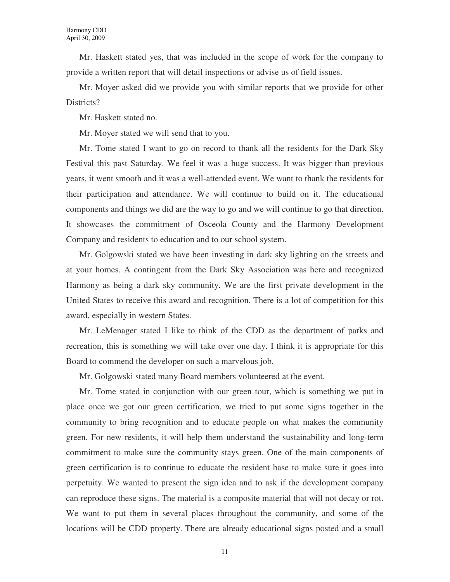Mr. Haskett stated yes, that was included in the scope of work for the company to provide a written report that will detail inspections or advise us of field issues.

Mr. Moyer asked did we provide you with similar reports that we provide for other Districts?

Mr. Haskett stated no.

Mr. Moyer stated we will send that to you.

Mr. Tome stated I want to go on record to thank all the residents for the Dark Sky Festival this past Saturday. We feel it was a huge success. It was bigger than previous years, it went smooth and it was a well-attended event. We want to thank the residents for their participation and attendance. We will continue to build on it. The educational components and things we did are the way to go and we will continue to go that direction. It showcases the commitment of Osceola County and the Harmony Development Company and residents to education and to our school system.

Mr. Golgowski stated we have been investing in dark sky lighting on the streets and at your homes. A contingent from the Dark Sky Association was here and recognized Harmony as being a dark sky community. We are the first private development in the United States to receive this award and recognition. There is a lot of competition for this award, especially in western States.

Mr. LeMenager stated I like to think of the CDD as the department of parks and recreation, this is something we will take over one day. I think it is appropriate for this Board to commend the developer on such a marvelous job.

Mr. Golgowski stated many Board members volunteered at the event.

Mr. Tome stated in conjunction with our green tour, which is something we put in place once we got our green certification, we tried to put some signs together in the community to bring recognition and to educate people on what makes the community green. For new residents, it will help them understand the sustainability and long-term commitment to make sure the community stays green. One of the main components of green certification is to continue to educate the resident base to make sure it goes into perpetuity. We wanted to present the sign idea and to ask if the development company can reproduce these signs. The material is a composite material that will not decay or rot. We want to put them in several places throughout the community, and some of the locations will be CDD property. There are already educational signs posted and a small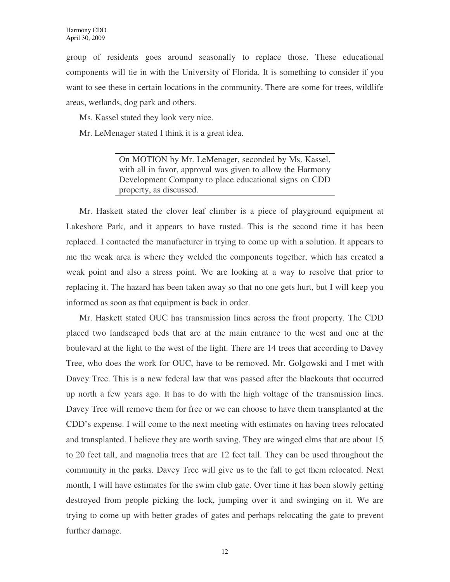group of residents goes around seasonally to replace those. These educational components will tie in with the University of Florida. It is something to consider if you want to see these in certain locations in the community. There are some for trees, wildlife areas, wetlands, dog park and others.

Ms. Kassel stated they look very nice.

Mr. LeMenager stated I think it is a great idea.

On MOTION by Mr. LeMenager, seconded by Ms. Kassel, with all in favor, approval was given to allow the Harmony Development Company to place educational signs on CDD property, as discussed.

Mr. Haskett stated the clover leaf climber is a piece of playground equipment at Lakeshore Park, and it appears to have rusted. This is the second time it has been replaced. I contacted the manufacturer in trying to come up with a solution. It appears to me the weak area is where they welded the components together, which has created a weak point and also a stress point. We are looking at a way to resolve that prior to replacing it. The hazard has been taken away so that no one gets hurt, but I will keep you informed as soon as that equipment is back in order.

Mr. Haskett stated OUC has transmission lines across the front property. The CDD placed two landscaped beds that are at the main entrance to the west and one at the boulevard at the light to the west of the light. There are 14 trees that according to Davey Tree, who does the work for OUC, have to be removed. Mr. Golgowski and I met with Davey Tree. This is a new federal law that was passed after the blackouts that occurred up north a few years ago. It has to do with the high voltage of the transmission lines. Davey Tree will remove them for free or we can choose to have them transplanted at the CDD's expense. I will come to the next meeting with estimates on having trees relocated and transplanted. I believe they are worth saving. They are winged elms that are about 15 to 20 feet tall, and magnolia trees that are 12 feet tall. They can be used throughout the community in the parks. Davey Tree will give us to the fall to get them relocated. Next month, I will have estimates for the swim club gate. Over time it has been slowly getting destroyed from people picking the lock, jumping over it and swinging on it. We are trying to come up with better grades of gates and perhaps relocating the gate to prevent further damage.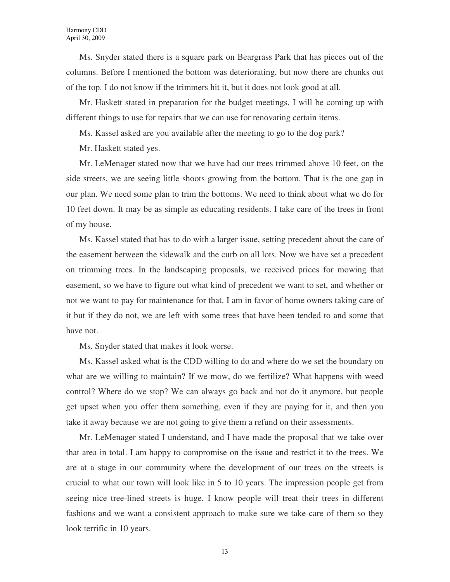Ms. Snyder stated there is a square park on Beargrass Park that has pieces out of the columns. Before I mentioned the bottom was deteriorating, but now there are chunks out of the top. I do not know if the trimmers hit it, but it does not look good at all.

Mr. Haskett stated in preparation for the budget meetings, I will be coming up with different things to use for repairs that we can use for renovating certain items.

Ms. Kassel asked are you available after the meeting to go to the dog park?

Mr. Haskett stated yes.

Mr. LeMenager stated now that we have had our trees trimmed above 10 feet, on the side streets, we are seeing little shoots growing from the bottom. That is the one gap in our plan. We need some plan to trim the bottoms. We need to think about what we do for 10 feet down. It may be as simple as educating residents. I take care of the trees in front of my house.

Ms. Kassel stated that has to do with a larger issue, setting precedent about the care of the easement between the sidewalk and the curb on all lots. Now we have set a precedent on trimming trees. In the landscaping proposals, we received prices for mowing that easement, so we have to figure out what kind of precedent we want to set, and whether or not we want to pay for maintenance for that. I am in favor of home owners taking care of it but if they do not, we are left with some trees that have been tended to and some that have not.

Ms. Snyder stated that makes it look worse.

Ms. Kassel asked what is the CDD willing to do and where do we set the boundary on what are we willing to maintain? If we mow, do we fertilize? What happens with weed control? Where do we stop? We can always go back and not do it anymore, but people get upset when you offer them something, even if they are paying for it, and then you take it away because we are not going to give them a refund on their assessments.

Mr. LeMenager stated I understand, and I have made the proposal that we take over that area in total. I am happy to compromise on the issue and restrict it to the trees. We are at a stage in our community where the development of our trees on the streets is crucial to what our town will look like in 5 to 10 years. The impression people get from seeing nice tree-lined streets is huge. I know people will treat their trees in different fashions and we want a consistent approach to make sure we take care of them so they look terrific in 10 years.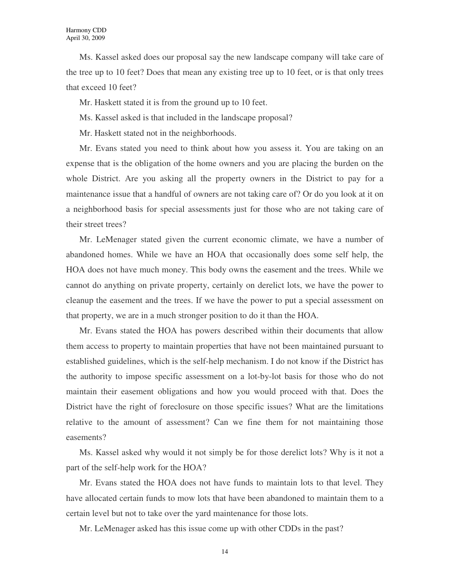Ms. Kassel asked does our proposal say the new landscape company will take care of the tree up to 10 feet? Does that mean any existing tree up to 10 feet, or is that only trees that exceed 10 feet?

Mr. Haskett stated it is from the ground up to 10 feet.

Ms. Kassel asked is that included in the landscape proposal?

Mr. Haskett stated not in the neighborhoods.

Mr. Evans stated you need to think about how you assess it. You are taking on an expense that is the obligation of the home owners and you are placing the burden on the whole District. Are you asking all the property owners in the District to pay for a maintenance issue that a handful of owners are not taking care of? Or do you look at it on a neighborhood basis for special assessments just for those who are not taking care of their street trees?

Mr. LeMenager stated given the current economic climate, we have a number of abandoned homes. While we have an HOA that occasionally does some self help, the HOA does not have much money. This body owns the easement and the trees. While we cannot do anything on private property, certainly on derelict lots, we have the power to cleanup the easement and the trees. If we have the power to put a special assessment on that property, we are in a much stronger position to do it than the HOA.

Mr. Evans stated the HOA has powers described within their documents that allow them access to property to maintain properties that have not been maintained pursuant to established guidelines, which is the self-help mechanism. I do not know if the District has the authority to impose specific assessment on a lot-by-lot basis for those who do not maintain their easement obligations and how you would proceed with that. Does the District have the right of foreclosure on those specific issues? What are the limitations relative to the amount of assessment? Can we fine them for not maintaining those easements?

Ms. Kassel asked why would it not simply be for those derelict lots? Why is it not a part of the self-help work for the HOA?

Mr. Evans stated the HOA does not have funds to maintain lots to that level. They have allocated certain funds to mow lots that have been abandoned to maintain them to a certain level but not to take over the yard maintenance for those lots.

Mr. LeMenager asked has this issue come up with other CDDs in the past?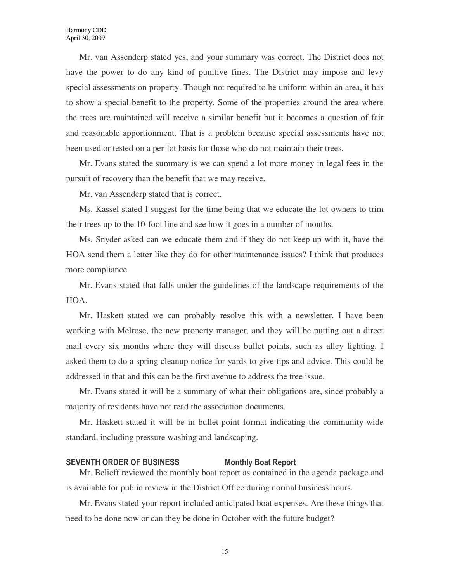Mr. van Assenderp stated yes, and your summary was correct. The District does not have the power to do any kind of punitive fines. The District may impose and levy special assessments on property. Though not required to be uniform within an area, it has to show a special benefit to the property. Some of the properties around the area where the trees are maintained will receive a similar benefit but it becomes a question of fair and reasonable apportionment. That is a problem because special assessments have not been used or tested on a per-lot basis for those who do not maintain their trees.

Mr. Evans stated the summary is we can spend a lot more money in legal fees in the pursuit of recovery than the benefit that we may receive.

Mr. van Assenderp stated that is correct.

Ms. Kassel stated I suggest for the time being that we educate the lot owners to trim their trees up to the 10-foot line and see how it goes in a number of months.

Ms. Snyder asked can we educate them and if they do not keep up with it, have the HOA send them a letter like they do for other maintenance issues? I think that produces more compliance.

Mr. Evans stated that falls under the guidelines of the landscape requirements of the HOA.

Mr. Haskett stated we can probably resolve this with a newsletter. I have been working with Melrose, the new property manager, and they will be putting out a direct mail every six months where they will discuss bullet points, such as alley lighting. I asked them to do a spring cleanup notice for yards to give tips and advice. This could be addressed in that and this can be the first avenue to address the tree issue.

Mr. Evans stated it will be a summary of what their obligations are, since probably a majority of residents have not read the association documents.

Mr. Haskett stated it will be in bullet-point format indicating the community-wide standard, including pressure washing and landscaping.

### SEVENTH ORDER OF BUSINESS Monthly Boat Report

Mr. Belieff reviewed the monthly boat report as contained in the agenda package and is available for public review in the District Office during normal business hours.

Mr. Evans stated your report included anticipated boat expenses. Are these things that need to be done now or can they be done in October with the future budget?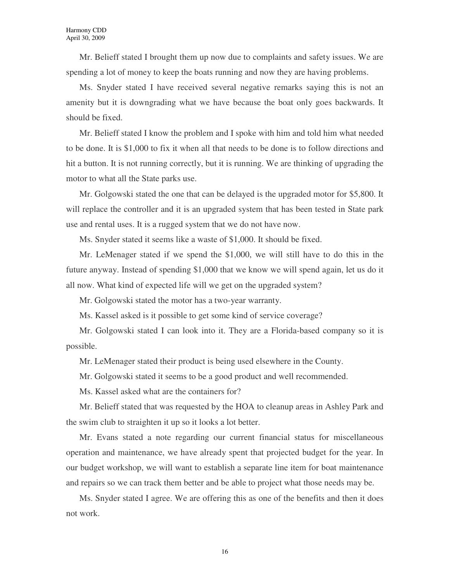Mr. Belieff stated I brought them up now due to complaints and safety issues. We are spending a lot of money to keep the boats running and now they are having problems.

Ms. Snyder stated I have received several negative remarks saying this is not an amenity but it is downgrading what we have because the boat only goes backwards. It should be fixed.

Mr. Belieff stated I know the problem and I spoke with him and told him what needed to be done. It is \$1,000 to fix it when all that needs to be done is to follow directions and hit a button. It is not running correctly, but it is running. We are thinking of upgrading the motor to what all the State parks use.

Mr. Golgowski stated the one that can be delayed is the upgraded motor for \$5,800. It will replace the controller and it is an upgraded system that has been tested in State park use and rental uses. It is a rugged system that we do not have now.

Ms. Snyder stated it seems like a waste of \$1,000. It should be fixed.

Mr. LeMenager stated if we spend the \$1,000, we will still have to do this in the future anyway. Instead of spending \$1,000 that we know we will spend again, let us do it all now. What kind of expected life will we get on the upgraded system?

Mr. Golgowski stated the motor has a two-year warranty.

Ms. Kassel asked is it possible to get some kind of service coverage?

Mr. Golgowski stated I can look into it. They are a Florida-based company so it is possible.

Mr. LeMenager stated their product is being used elsewhere in the County.

Mr. Golgowski stated it seems to be a good product and well recommended.

Ms. Kassel asked what are the containers for?

Mr. Belieff stated that was requested by the HOA to cleanup areas in Ashley Park and the swim club to straighten it up so it looks a lot better.

Mr. Evans stated a note regarding our current financial status for miscellaneous operation and maintenance, we have already spent that projected budget for the year. In our budget workshop, we will want to establish a separate line item for boat maintenance and repairs so we can track them better and be able to project what those needs may be.

Ms. Snyder stated I agree. We are offering this as one of the benefits and then it does not work.

16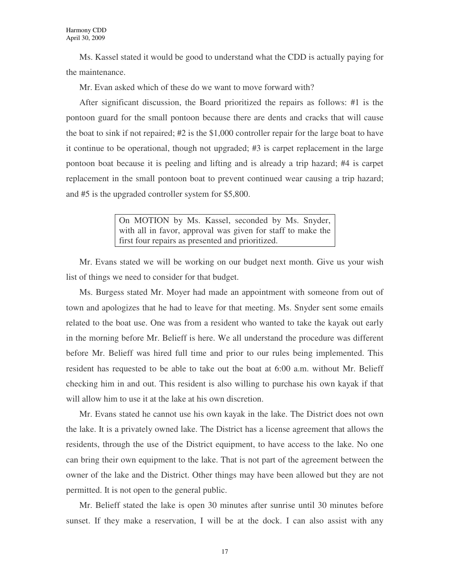Ms. Kassel stated it would be good to understand what the CDD is actually paying for the maintenance.

Mr. Evan asked which of these do we want to move forward with?

After significant discussion, the Board prioritized the repairs as follows: #1 is the pontoon guard for the small pontoon because there are dents and cracks that will cause the boat to sink if not repaired; #2 is the \$1,000 controller repair for the large boat to have it continue to be operational, though not upgraded; #3 is carpet replacement in the large pontoon boat because it is peeling and lifting and is already a trip hazard; #4 is carpet replacement in the small pontoon boat to prevent continued wear causing a trip hazard; and #5 is the upgraded controller system for \$5,800.

> On MOTION by Ms. Kassel, seconded by Ms. Snyder, with all in favor, approval was given for staff to make the first four repairs as presented and prioritized.

Mr. Evans stated we will be working on our budget next month. Give us your wish list of things we need to consider for that budget.

Ms. Burgess stated Mr. Moyer had made an appointment with someone from out of town and apologizes that he had to leave for that meeting. Ms. Snyder sent some emails related to the boat use. One was from a resident who wanted to take the kayak out early in the morning before Mr. Belieff is here. We all understand the procedure was different before Mr. Belieff was hired full time and prior to our rules being implemented. This resident has requested to be able to take out the boat at 6:00 a.m. without Mr. Belieff checking him in and out. This resident is also willing to purchase his own kayak if that will allow him to use it at the lake at his own discretion.

Mr. Evans stated he cannot use his own kayak in the lake. The District does not own the lake. It is a privately owned lake. The District has a license agreement that allows the residents, through the use of the District equipment, to have access to the lake. No one can bring their own equipment to the lake. That is not part of the agreement between the owner of the lake and the District. Other things may have been allowed but they are not permitted. It is not open to the general public.

Mr. Belieff stated the lake is open 30 minutes after sunrise until 30 minutes before sunset. If they make a reservation, I will be at the dock. I can also assist with any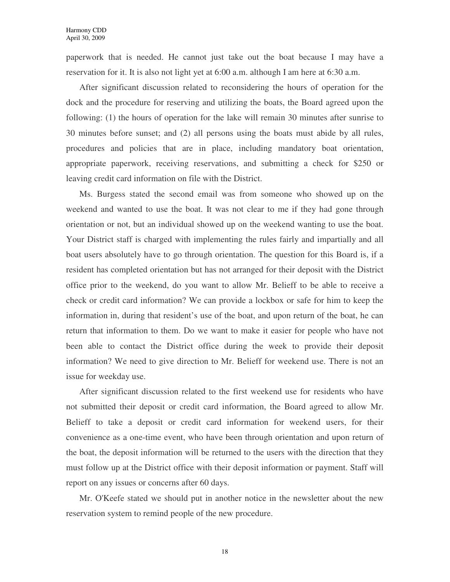paperwork that is needed. He cannot just take out the boat because I may have a reservation for it. It is also not light yet at 6:00 a.m. although I am here at 6:30 a.m.

After significant discussion related to reconsidering the hours of operation for the dock and the procedure for reserving and utilizing the boats, the Board agreed upon the following: (1) the hours of operation for the lake will remain 30 minutes after sunrise to 30 minutes before sunset; and (2) all persons using the boats must abide by all rules, procedures and policies that are in place, including mandatory boat orientation, appropriate paperwork, receiving reservations, and submitting a check for \$250 or leaving credit card information on file with the District.

Ms. Burgess stated the second email was from someone who showed up on the weekend and wanted to use the boat. It was not clear to me if they had gone through orientation or not, but an individual showed up on the weekend wanting to use the boat. Your District staff is charged with implementing the rules fairly and impartially and all boat users absolutely have to go through orientation. The question for this Board is, if a resident has completed orientation but has not arranged for their deposit with the District office prior to the weekend, do you want to allow Mr. Belieff to be able to receive a check or credit card information? We can provide a lockbox or safe for him to keep the information in, during that resident's use of the boat, and upon return of the boat, he can return that information to them. Do we want to make it easier for people who have not been able to contact the District office during the week to provide their deposit information? We need to give direction to Mr. Belieff for weekend use. There is not an issue for weekday use.

After significant discussion related to the first weekend use for residents who have not submitted their deposit or credit card information, the Board agreed to allow Mr. Belieff to take a deposit or credit card information for weekend users, for their convenience as a one-time event, who have been through orientation and upon return of the boat, the deposit information will be returned to the users with the direction that they must follow up at the District office with their deposit information or payment. Staff will report on any issues or concerns after 60 days.

Mr. O'Keefe stated we should put in another notice in the newsletter about the new reservation system to remind people of the new procedure.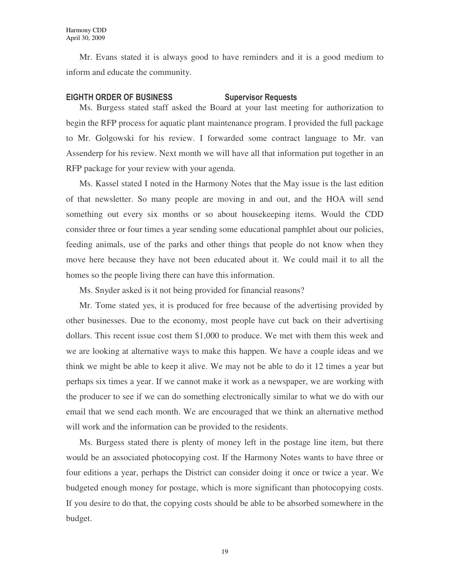Mr. Evans stated it is always good to have reminders and it is a good medium to inform and educate the community.

# EIGHTH ORDER OF BUSINESS Supervisor Requests

Ms. Burgess stated staff asked the Board at your last meeting for authorization to begin the RFP process for aquatic plant maintenance program. I provided the full package to Mr. Golgowski for his review. I forwarded some contract language to Mr. van Assenderp for his review. Next month we will have all that information put together in an RFP package for your review with your agenda.

Ms. Kassel stated I noted in the Harmony Notes that the May issue is the last edition of that newsletter. So many people are moving in and out, and the HOA will send something out every six months or so about housekeeping items. Would the CDD consider three or four times a year sending some educational pamphlet about our policies, feeding animals, use of the parks and other things that people do not know when they move here because they have not been educated about it. We could mail it to all the homes so the people living there can have this information.

Ms. Snyder asked is it not being provided for financial reasons?

Mr. Tome stated yes, it is produced for free because of the advertising provided by other businesses. Due to the economy, most people have cut back on their advertising dollars. This recent issue cost them \$1,000 to produce. We met with them this week and we are looking at alternative ways to make this happen. We have a couple ideas and we think we might be able to keep it alive. We may not be able to do it 12 times a year but perhaps six times a year. If we cannot make it work as a newspaper, we are working with the producer to see if we can do something electronically similar to what we do with our email that we send each month. We are encouraged that we think an alternative method will work and the information can be provided to the residents.

Ms. Burgess stated there is plenty of money left in the postage line item, but there would be an associated photocopying cost. If the Harmony Notes wants to have three or four editions a year, perhaps the District can consider doing it once or twice a year. We budgeted enough money for postage, which is more significant than photocopying costs. If you desire to do that, the copying costs should be able to be absorbed somewhere in the budget.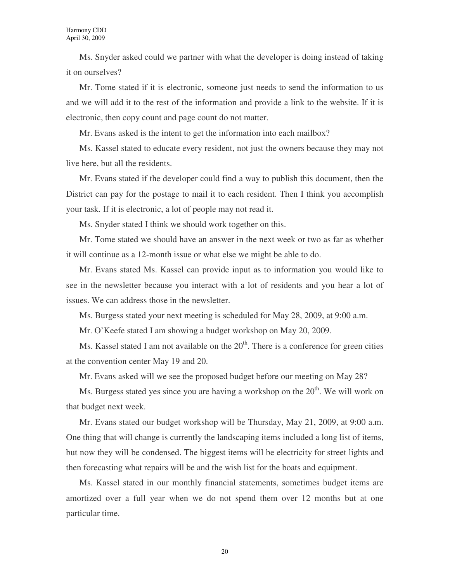Ms. Snyder asked could we partner with what the developer is doing instead of taking it on ourselves?

Mr. Tome stated if it is electronic, someone just needs to send the information to us and we will add it to the rest of the information and provide a link to the website. If it is electronic, then copy count and page count do not matter.

Mr. Evans asked is the intent to get the information into each mailbox?

Ms. Kassel stated to educate every resident, not just the owners because they may not live here, but all the residents.

Mr. Evans stated if the developer could find a way to publish this document, then the District can pay for the postage to mail it to each resident. Then I think you accomplish your task. If it is electronic, a lot of people may not read it.

Ms. Snyder stated I think we should work together on this.

Mr. Tome stated we should have an answer in the next week or two as far as whether it will continue as a 12-month issue or what else we might be able to do.

Mr. Evans stated Ms. Kassel can provide input as to information you would like to see in the newsletter because you interact with a lot of residents and you hear a lot of issues. We can address those in the newsletter.

Ms. Burgess stated your next meeting is scheduled for May 28, 2009, at 9:00 a.m.

Mr. O'Keefe stated I am showing a budget workshop on May 20, 2009.

Ms. Kassel stated I am not available on the  $20<sup>th</sup>$ . There is a conference for green cities at the convention center May 19 and 20.

Mr. Evans asked will we see the proposed budget before our meeting on May 28?

Ms. Burgess stated yes since you are having a workshop on the  $20<sup>th</sup>$ . We will work on that budget next week.

Mr. Evans stated our budget workshop will be Thursday, May 21, 2009, at 9:00 a.m. One thing that will change is currently the landscaping items included a long list of items, but now they will be condensed. The biggest items will be electricity for street lights and then forecasting what repairs will be and the wish list for the boats and equipment.

Ms. Kassel stated in our monthly financial statements, sometimes budget items are amortized over a full year when we do not spend them over 12 months but at one particular time.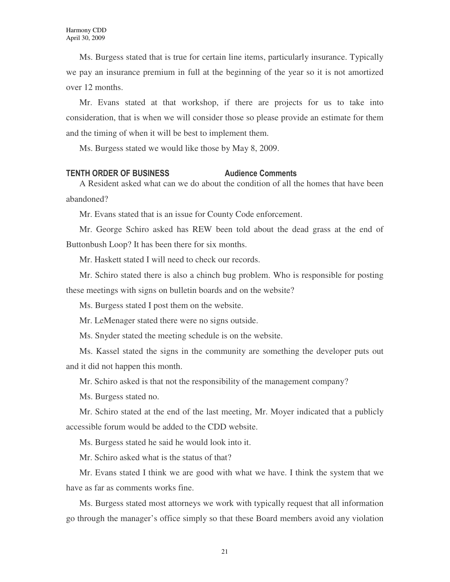Ms. Burgess stated that is true for certain line items, particularly insurance. Typically we pay an insurance premium in full at the beginning of the year so it is not amortized over 12 months.

Mr. Evans stated at that workshop, if there are projects for us to take into consideration, that is when we will consider those so please provide an estimate for them and the timing of when it will be best to implement them.

Ms. Burgess stated we would like those by May 8, 2009.

### TENTH ORDER OF BUSINESS Audience Comments

A Resident asked what can we do about the condition of all the homes that have been abandoned?

Mr. Evans stated that is an issue for County Code enforcement.

Mr. George Schiro asked has REW been told about the dead grass at the end of Buttonbush Loop? It has been there for six months.

Mr. Haskett stated I will need to check our records.

Mr. Schiro stated there is also a chinch bug problem. Who is responsible for posting these meetings with signs on bulletin boards and on the website?

Ms. Burgess stated I post them on the website.

Mr. LeMenager stated there were no signs outside.

Ms. Snyder stated the meeting schedule is on the website.

Ms. Kassel stated the signs in the community are something the developer puts out and it did not happen this month.

Mr. Schiro asked is that not the responsibility of the management company?

Ms. Burgess stated no.

Mr. Schiro stated at the end of the last meeting, Mr. Moyer indicated that a publicly accessible forum would be added to the CDD website.

Ms. Burgess stated he said he would look into it.

Mr. Schiro asked what is the status of that?

Mr. Evans stated I think we are good with what we have. I think the system that we have as far as comments works fine.

Ms. Burgess stated most attorneys we work with typically request that all information go through the manager's office simply so that these Board members avoid any violation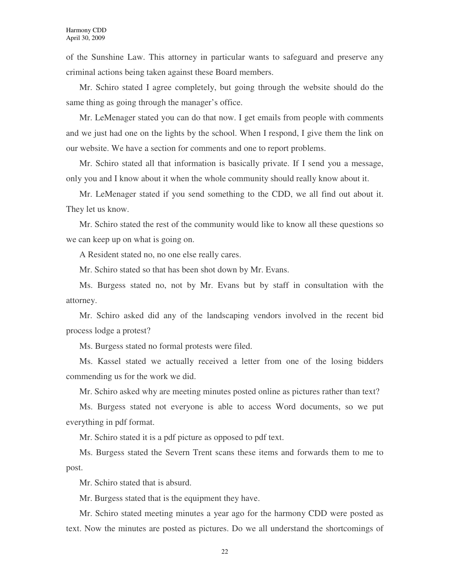of the Sunshine Law. This attorney in particular wants to safeguard and preserve any criminal actions being taken against these Board members.

Mr. Schiro stated I agree completely, but going through the website should do the same thing as going through the manager's office.

Mr. LeMenager stated you can do that now. I get emails from people with comments and we just had one on the lights by the school. When I respond, I give them the link on our website. We have a section for comments and one to report problems.

Mr. Schiro stated all that information is basically private. If I send you a message, only you and I know about it when the whole community should really know about it.

Mr. LeMenager stated if you send something to the CDD, we all find out about it. They let us know.

Mr. Schiro stated the rest of the community would like to know all these questions so we can keep up on what is going on.

A Resident stated no, no one else really cares.

Mr. Schiro stated so that has been shot down by Mr. Evans.

Ms. Burgess stated no, not by Mr. Evans but by staff in consultation with the attorney.

Mr. Schiro asked did any of the landscaping vendors involved in the recent bid process lodge a protest?

Ms. Burgess stated no formal protests were filed.

Ms. Kassel stated we actually received a letter from one of the losing bidders commending us for the work we did.

Mr. Schiro asked why are meeting minutes posted online as pictures rather than text?

Ms. Burgess stated not everyone is able to access Word documents, so we put everything in pdf format.

Mr. Schiro stated it is a pdf picture as opposed to pdf text.

Ms. Burgess stated the Severn Trent scans these items and forwards them to me to post.

Mr. Schiro stated that is absurd.

Mr. Burgess stated that is the equipment they have.

Mr. Schiro stated meeting minutes a year ago for the harmony CDD were posted as text. Now the minutes are posted as pictures. Do we all understand the shortcomings of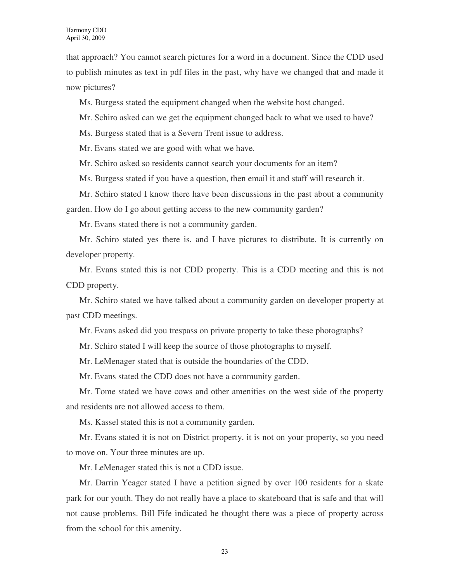that approach? You cannot search pictures for a word in a document. Since the CDD used to publish minutes as text in pdf files in the past, why have we changed that and made it now pictures?

Ms. Burgess stated the equipment changed when the website host changed.

Mr. Schiro asked can we get the equipment changed back to what we used to have?

Ms. Burgess stated that is a Severn Trent issue to address.

Mr. Evans stated we are good with what we have.

Mr. Schiro asked so residents cannot search your documents for an item?

Ms. Burgess stated if you have a question, then email it and staff will research it.

Mr. Schiro stated I know there have been discussions in the past about a community garden. How do I go about getting access to the new community garden?

Mr. Evans stated there is not a community garden.

Mr. Schiro stated yes there is, and I have pictures to distribute. It is currently on developer property.

Mr. Evans stated this is not CDD property. This is a CDD meeting and this is not CDD property.

Mr. Schiro stated we have talked about a community garden on developer property at past CDD meetings.

Mr. Evans asked did you trespass on private property to take these photographs?

Mr. Schiro stated I will keep the source of those photographs to myself.

Mr. LeMenager stated that is outside the boundaries of the CDD.

Mr. Evans stated the CDD does not have a community garden.

Mr. Tome stated we have cows and other amenities on the west side of the property and residents are not allowed access to them.

Ms. Kassel stated this is not a community garden.

Mr. Evans stated it is not on District property, it is not on your property, so you need to move on. Your three minutes are up.

Mr. LeMenager stated this is not a CDD issue.

Mr. Darrin Yeager stated I have a petition signed by over 100 residents for a skate park for our youth. They do not really have a place to skateboard that is safe and that will not cause problems. Bill Fife indicated he thought there was a piece of property across from the school for this amenity.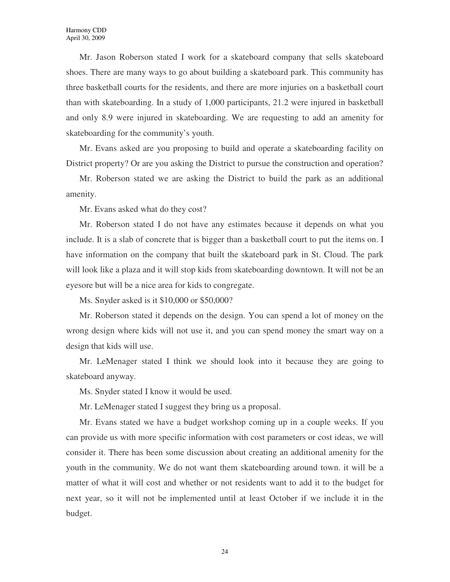Mr. Jason Roberson stated I work for a skateboard company that sells skateboard shoes. There are many ways to go about building a skateboard park. This community has three basketball courts for the residents, and there are more injuries on a basketball court than with skateboarding. In a study of 1,000 participants, 21.2 were injured in basketball and only 8.9 were injured in skateboarding. We are requesting to add an amenity for skateboarding for the community's youth.

Mr. Evans asked are you proposing to build and operate a skateboarding facility on District property? Or are you asking the District to pursue the construction and operation?

Mr. Roberson stated we are asking the District to build the park as an additional amenity.

Mr. Evans asked what do they cost?

Mr. Roberson stated I do not have any estimates because it depends on what you include. It is a slab of concrete that is bigger than a basketball court to put the items on. I have information on the company that built the skateboard park in St. Cloud. The park will look like a plaza and it will stop kids from skateboarding downtown. It will not be an eyesore but will be a nice area for kids to congregate.

Ms. Snyder asked is it \$10,000 or \$50,000?

Mr. Roberson stated it depends on the design. You can spend a lot of money on the wrong design where kids will not use it, and you can spend money the smart way on a design that kids will use.

Mr. LeMenager stated I think we should look into it because they are going to skateboard anyway.

Ms. Snyder stated I know it would be used.

Mr. LeMenager stated I suggest they bring us a proposal.

Mr. Evans stated we have a budget workshop coming up in a couple weeks. If you can provide us with more specific information with cost parameters or cost ideas, we will consider it. There has been some discussion about creating an additional amenity for the youth in the community. We do not want them skateboarding around town. it will be a matter of what it will cost and whether or not residents want to add it to the budget for next year, so it will not be implemented until at least October if we include it in the budget.